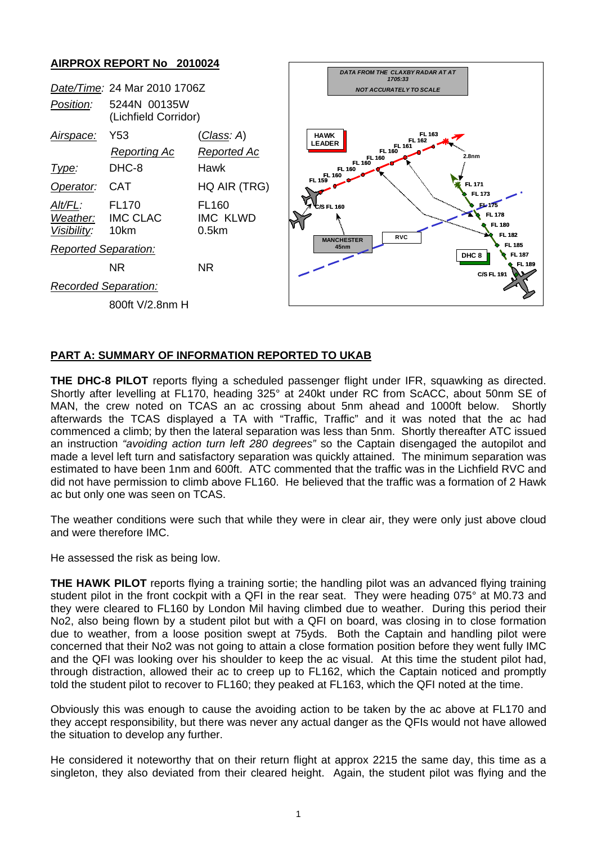## **AIRPROX REPORT No 2010024**



## **PART A: SUMMARY OF INFORMATION REPORTED TO UKAB**

**THE DHC-8 PILOT** reports flying a scheduled passenger flight under IFR, squawking as directed. Shortly after levelling at FL170, heading 325° at 240kt under RC from ScACC, about 50nm SE of MAN, the crew noted on TCAS an ac crossing about 5nm ahead and 1000ft below. Shortly afterwards the TCAS displayed a TA with "Traffic, Traffic" and it was noted that the ac had commenced a climb; by then the lateral separation was less than 5nm. Shortly thereafter ATC issued an instruction *"avoiding action turn left 280 degrees"* so the Captain disengaged the autopilot and made a level left turn and satisfactory separation was quickly attained. The minimum separation was estimated to have been 1nm and 600ft. ATC commented that the traffic was in the Lichfield RVC and did not have permission to climb above FL160. He believed that the traffic was a formation of 2 Hawk ac but only one was seen on TCAS.

The weather conditions were such that while they were in clear air, they were only just above cloud and were therefore IMC.

He assessed the risk as being low.

**THE HAWK PILOT** reports flying a training sortie; the handling pilot was an advanced flying training student pilot in the front cockpit with a QFI in the rear seat. They were heading 075° at M0.73 and they were cleared to FL160 by London Mil having climbed due to weather. During this period their No2, also being flown by a student pilot but with a QFI on board, was closing in to close formation due to weather, from a loose position swept at 75yds. Both the Captain and handling pilot were concerned that their No2 was not going to attain a close formation position before they went fully IMC and the QFI was looking over his shoulder to keep the ac visual. At this time the student pilot had, through distraction, allowed their ac to creep up to FL162, which the Captain noticed and promptly told the student pilot to recover to FL160; they peaked at FL163, which the QFI noted at the time.

Obviously this was enough to cause the avoiding action to be taken by the ac above at FL170 and they accept responsibility, but there was never any actual danger as the QFIs would not have allowed the situation to develop any further.

He considered it noteworthy that on their return flight at approx 2215 the same day, this time as a singleton, they also deviated from their cleared height. Again, the student pilot was flying and the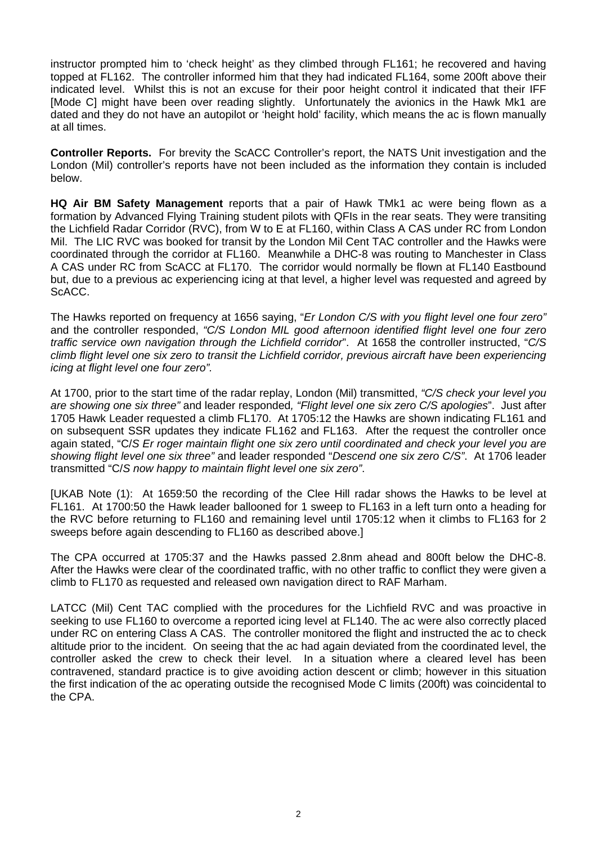instructor prompted him to 'check height' as they climbed through FL161; he recovered and having topped at FL162. The controller informed him that they had indicated FL164, some 200ft above their indicated level. Whilst this is not an excuse for their poor height control it indicated that their IFF [Mode C] might have been over reading slightly. Unfortunately the avionics in the Hawk Mk1 are dated and they do not have an autopilot or 'height hold' facility, which means the ac is flown manually at all times.

**Controller Reports.** For brevity the ScACC Controller's report, the NATS Unit investigation and the London (Mil) controller's reports have not been included as the information they contain is included below.

**HQ Air BM Safety Management** reports that a pair of Hawk TMk1 ac were being flown as a formation by Advanced Flying Training student pilots with QFIs in the rear seats. They were transiting the Lichfield Radar Corridor (RVC), from W to E at FL160, within Class A CAS under RC from London Mil. The LIC RVC was booked for transit by the London Mil Cent TAC controller and the Hawks were coordinated through the corridor at FL160. Meanwhile a DHC-8 was routing to Manchester in Class A CAS under RC from ScACC at FL170. The corridor would normally be flown at FL140 Eastbound but, due to a previous ac experiencing icing at that level, a higher level was requested and agreed by ScACC.

The Hawks reported on frequency at 1656 saying, "*Er London C/S with you flight level one four zero"*  and the controller responded, *"C/S London MIL good afternoon identified flight level one four zero traffic service own navigation through the Lichfield corridor*". At 1658 the controller instructed, "*C/S climb flight level one six zero to transit the Lichfield corridor, previous aircraft have been experiencing icing at flight level one four zero".* 

At 1700, prior to the start time of the radar replay, London (Mil) transmitted, *"C/S check your level you are showing one six three"* and leader responded*, "Flight level one six zero C/S apologies*". Just after 1705 Hawk Leader requested a climb FL170. At 1705:12 the Hawks are shown indicating FL161 and on subsequent SSR updates they indicate FL162 and FL163. After the request the controller once again stated, "C/*S Er roger maintain flight one six zero until coordinated and check your level you are showing flight level one six three"* and leader responded "*Descend one six zero C/S"*. At 1706 leader transmitted "C/*S now happy to maintain flight level one six zero"*.

[UKAB Note (1): At 1659:50 the recording of the Clee Hill radar shows the Hawks to be level at FL161. At 1700:50 the Hawk leader ballooned for 1 sweep to FL163 in a left turn onto a heading for the RVC before returning to FL160 and remaining level until 1705:12 when it climbs to FL163 for 2 sweeps before again descending to FL160 as described above.]

The CPA occurred at 1705:37 and the Hawks passed 2.8nm ahead and 800ft below the DHC-8. After the Hawks were clear of the coordinated traffic, with no other traffic to conflict they were given a climb to FL170 as requested and released own navigation direct to RAF Marham.

LATCC (Mil) Cent TAC complied with the procedures for the Lichfield RVC and was proactive in seeking to use FL160 to overcome a reported icing level at FL140. The ac were also correctly placed under RC on entering Class A CAS. The controller monitored the flight and instructed the ac to check altitude prior to the incident. On seeing that the ac had again deviated from the coordinated level, the controller asked the crew to check their level. In a situation where a cleared level has been contravened, standard practice is to give avoiding action descent or climb; however in this situation the first indication of the ac operating outside the recognised Mode C limits (200ft) was coincidental to the CPA.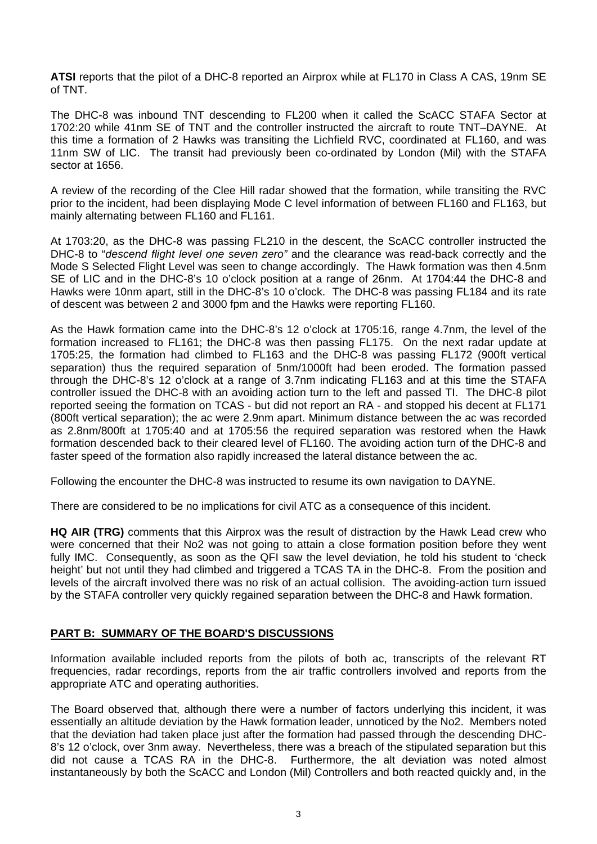**ATSI** reports that the pilot of a DHC-8 reported an Airprox while at FL170 in Class A CAS, 19nm SE of TNT.

The DHC-8 was inbound TNT descending to FL200 when it called the ScACC STAFA Sector at 1702:20 while 41nm SE of TNT and the controller instructed the aircraft to route TNT–DAYNE. At this time a formation of 2 Hawks was transiting the Lichfield RVC, coordinated at FL160, and was 11nm SW of LIC. The transit had previously been co-ordinated by London (Mil) with the STAFA sector at 1656.

A review of the recording of the Clee Hill radar showed that the formation, while transiting the RVC prior to the incident, had been displaying Mode C level information of between FL160 and FL163, but mainly alternating between FL160 and FL161.

At 1703:20, as the DHC-8 was passing FL210 in the descent, the ScACC controller instructed the DHC-8 to "*descend flight level one seven zero"* and the clearance was read-back correctly and the Mode S Selected Flight Level was seen to change accordingly. The Hawk formation was then 4.5nm SE of LIC and in the DHC-8's 10 o'clock position at a range of 26nm. At 1704:44 the DHC-8 and Hawks were 10nm apart, still in the DHC-8's 10 o'clock. The DHC-8 was passing FL184 and its rate of descent was between 2 and 3000 fpm and the Hawks were reporting FL160.

As the Hawk formation came into the DHC-8's 12 o'clock at 1705:16, range 4.7nm, the level of the formation increased to FL161; the DHC-8 was then passing FL175. On the next radar update at 1705:25, the formation had climbed to FL163 and the DHC-8 was passing FL172 (900ft vertical separation) thus the required separation of 5nm/1000ft had been eroded. The formation passed through the DHC-8's 12 o'clock at a range of 3.7nm indicating FL163 and at this time the STAFA controller issued the DHC-8 with an avoiding action turn to the left and passed TI. The DHC-8 pilot reported seeing the formation on TCAS - but did not report an RA - and stopped his decent at FL171 (800ft vertical separation); the ac were 2.9nm apart. Minimum distance between the ac was recorded as 2.8nm/800ft at 1705:40 and at 1705:56 the required separation was restored when the Hawk formation descended back to their cleared level of FL160. The avoiding action turn of the DHC-8 and faster speed of the formation also rapidly increased the lateral distance between the ac.

Following the encounter the DHC-8 was instructed to resume its own navigation to DAYNE.

There are considered to be no implications for civil ATC as a consequence of this incident.

**HQ AIR (TRG)** comments that this Airprox was the result of distraction by the Hawk Lead crew who were concerned that their No2 was not going to attain a close formation position before they went fully IMC. Consequently, as soon as the QFI saw the level deviation, he told his student to 'check height' but not until they had climbed and triggered a TCAS TA in the DHC-8. From the position and levels of the aircraft involved there was no risk of an actual collision. The avoiding-action turn issued by the STAFA controller very quickly regained separation between the DHC-8 and Hawk formation.

## **PART B: SUMMARY OF THE BOARD'S DISCUSSIONS**

Information available included reports from the pilots of both ac, transcripts of the relevant RT frequencies, radar recordings, reports from the air traffic controllers involved and reports from the appropriate ATC and operating authorities.

The Board observed that, although there were a number of factors underlying this incident, it was essentially an altitude deviation by the Hawk formation leader, unnoticed by the No2. Members noted that the deviation had taken place just after the formation had passed through the descending DHC-8's 12 o'clock, over 3nm away. Nevertheless, there was a breach of the stipulated separation but this did not cause a TCAS RA in the DHC-8. Furthermore, the alt deviation was noted almost instantaneously by both the ScACC and London (Mil) Controllers and both reacted quickly and, in the